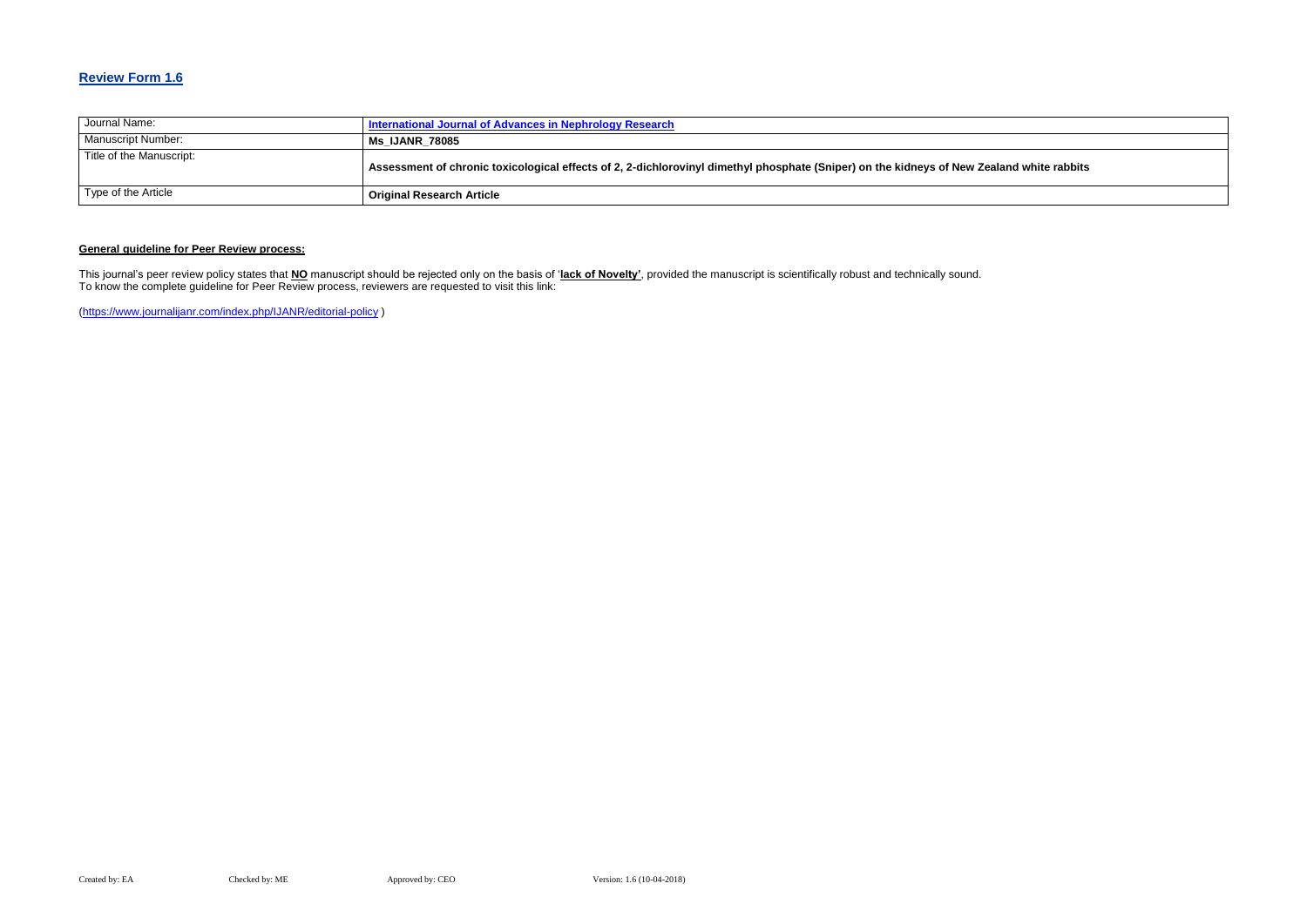## **Review Form 1.6**

| Journal Name:            | International Journal of Advances in Nephrology Research                                                               |
|--------------------------|------------------------------------------------------------------------------------------------------------------------|
| Manuscript Number:       | <b>Ms IJANR 78085</b>                                                                                                  |
| Title of the Manuscript: | Assessment of chronic toxicological effects of 2, 2-dichlorovinyl dimethyl phosphate (Sniper) on the kidneys of New Ze |
| Type of the Article      | <b>Original Research Article</b>                                                                                       |

### **General guideline for Peer Review process:**

This journal's peer review policy states that **NO** manuscript should be rejected only on the basis of '**lack of Novelty'**, provided the manuscript is scientifically robust and technically sound. To know the complete guideline for Peer Review process, reviewers are requested to visit this link:

[\(https://www.journalijanr.com/index.php/IJANR/editorial-policy](https://www.journalijanr.com/index.php/IJANR/editorial-policy) )

#### ealand white rabbits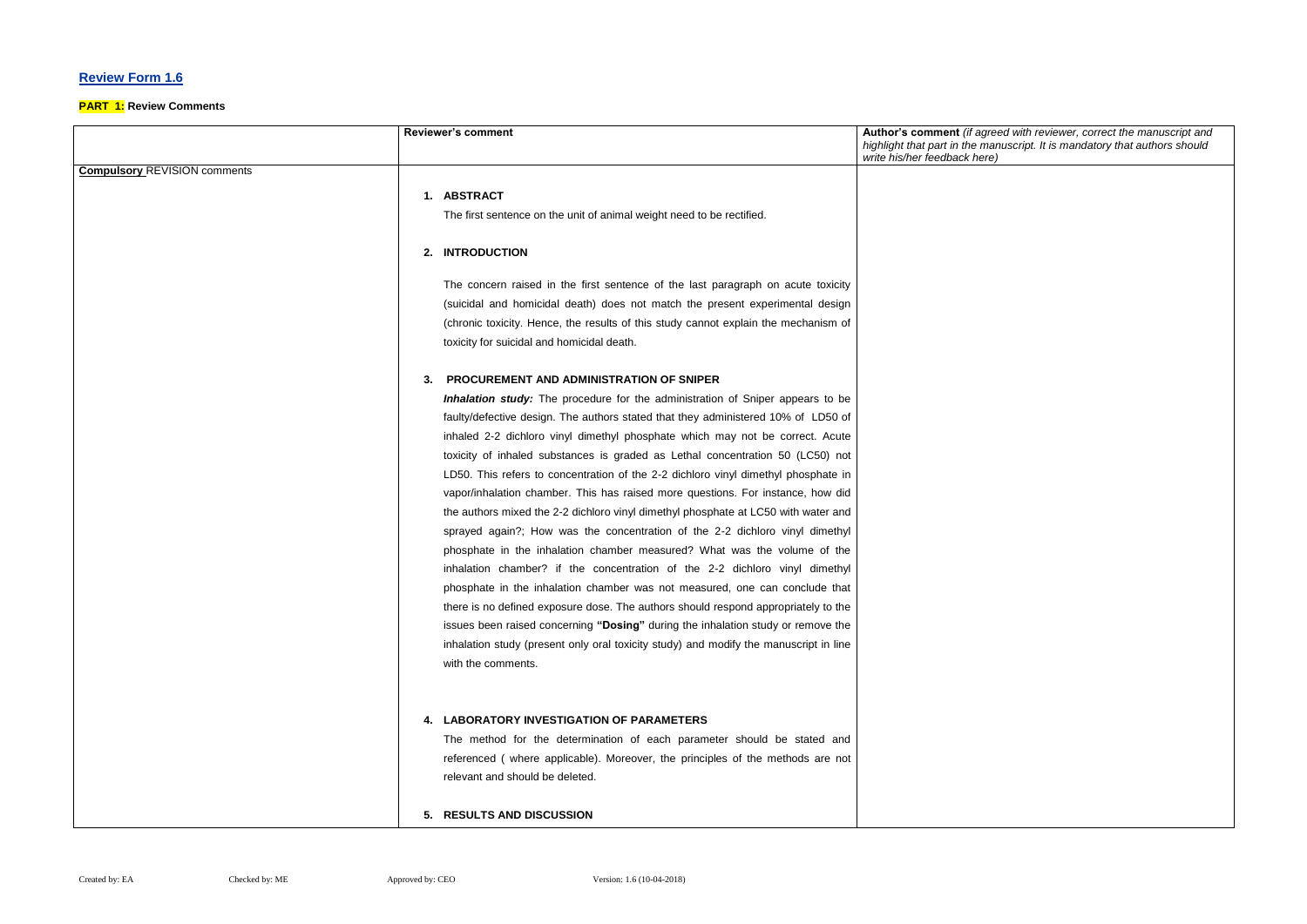## **Review Form 1.6**

#### **PART 1: Review Comments**

**Reviewer's comment Author's comment** *(if agreed with reviewer, correct the manuscript and manuscript. It is mandatory that authors should write his/her feedback here)*

|                                     | <b>Reviewer's comment</b>                                                             | Author's comment (if a<br>highlight that part in the<br>write his/her feedback he |
|-------------------------------------|---------------------------------------------------------------------------------------|-----------------------------------------------------------------------------------|
| <b>Compulsory REVISION comments</b> |                                                                                       |                                                                                   |
|                                     | 1. ABSTRACT                                                                           |                                                                                   |
|                                     | The first sentence on the unit of animal weight need to be rectified.                 |                                                                                   |
|                                     |                                                                                       |                                                                                   |
|                                     | 2. INTRODUCTION                                                                       |                                                                                   |
|                                     | The concern raised in the first sentence of the last paragraph on acute toxicity      |                                                                                   |
|                                     | (suicidal and homicidal death) does not match the present experimental design         |                                                                                   |
|                                     | (chronic toxicity. Hence, the results of this study cannot explain the mechanism of   |                                                                                   |
|                                     | toxicity for suicidal and homicidal death.                                            |                                                                                   |
|                                     | PROCUREMENT AND ADMINISTRATION OF SNIPER<br>З.                                        |                                                                                   |
|                                     | <b>Inhalation study:</b> The procedure for the administration of Sniper appears to be |                                                                                   |
|                                     | faulty/defective design. The authors stated that they administered 10% of LD50 of     |                                                                                   |
|                                     | inhaled 2-2 dichloro vinyl dimethyl phosphate which may not be correct. Acute         |                                                                                   |
|                                     | toxicity of inhaled substances is graded as Lethal concentration 50 (LC50) not        |                                                                                   |
|                                     | LD50. This refers to concentration of the 2-2 dichloro vinyl dimethyl phosphate in    |                                                                                   |
|                                     | vapor/inhalation chamber. This has raised more questions. For instance, how did       |                                                                                   |
|                                     | the authors mixed the 2-2 dichloro vinyl dimethyl phosphate at LC50 with water and    |                                                                                   |
|                                     | sprayed again?; How was the concentration of the 2-2 dichloro vinyl dimethyl          |                                                                                   |
|                                     | phosphate in the inhalation chamber measured? What was the volume of the              |                                                                                   |
|                                     | inhalation chamber? if the concentration of the 2-2 dichloro vinyl dimethyl           |                                                                                   |
|                                     | phosphate in the inhalation chamber was not measured, one can conclude that           |                                                                                   |
|                                     | there is no defined exposure dose. The authors should respond appropriately to the    |                                                                                   |
|                                     | issues been raised concerning "Dosing" during the inhalation study or remove the      |                                                                                   |
|                                     | inhalation study (present only oral toxicity study) and modify the manuscript in line |                                                                                   |
|                                     | with the comments.                                                                    |                                                                                   |
|                                     |                                                                                       |                                                                                   |
|                                     | 4. LABORATORY INVESTIGATION OF PARAMETERS                                             |                                                                                   |
|                                     | The method for the determination of each parameter should be stated and               |                                                                                   |
|                                     | referenced (where applicable). Moreover, the principles of the methods are not        |                                                                                   |
|                                     | relevant and should be deleted.                                                       |                                                                                   |
|                                     |                                                                                       |                                                                                   |
|                                     | 5. RESULTS AND DISCUSSION                                                             |                                                                                   |